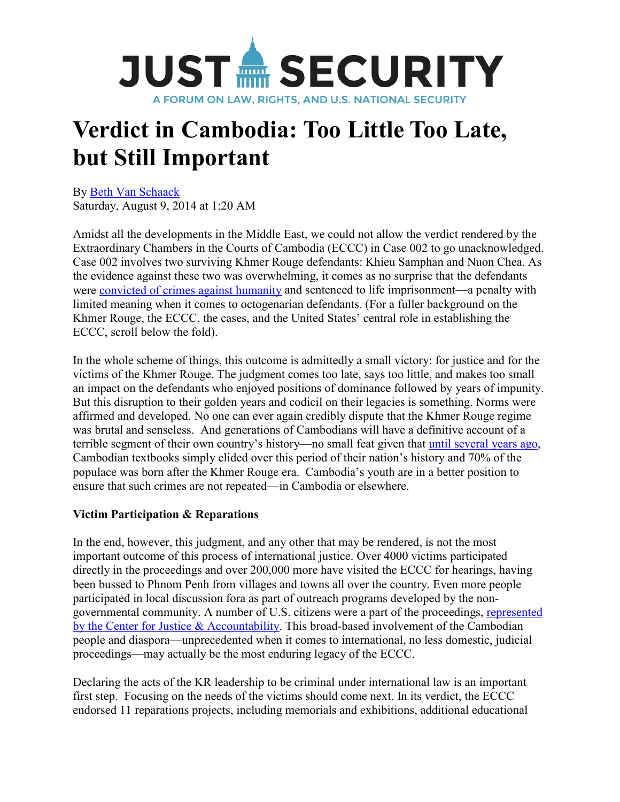

# **Verdict in Cambodia: Too Little Too Late, but Still Important**

By [Beth Van Schaack](http://justsecurity.org/author/vanschaackbeth/) Saturday, August 9, 2014 at 1:20 AM

Amidst all the developments in the Middle East, we could not allow the verdict rendered by the Extraordinary Chambers in the Courts of Cambodia (ECCC) in Case 002 to go unacknowledged. Case 002 involves two surviving Khmer Rouge defendants: Khieu Samphan and Nuon Chea. As the evidence against these two was overwhelming, it comes as no surprise that the defendants were [convicted of crimes against humanity](http://www.cnn.com/2014/08/07/world/asia/khmer-rouge-trial-verdict/index.html) and sentenced to life imprisonment—a penalty with limited meaning when it comes to octogenarian defendants. (For a fuller background on the Khmer Rouge, the ECCC, the cases, and the United States' central role in establishing the ECCC, scroll below the fold).

In the whole scheme of things, this outcome is admittedly a small victory: for justice and for the victims of the Khmer Rouge. The judgment comes too late, says too little, and makes too small an impact on the defendants who enjoyed positions of dominance followed by years of impunity. But this disruption to their golden years and codicil on their legacies is something. Norms were affirmed and developed. No one can ever again credibly dispute that the Khmer Rouge regime was brutal and senseless. And generations of Cambodians will have a definitive account of a terrible segment of their own country's history—no small feat given that [until several years ago,](http://www.phnompenhpost.com/national/trials-tribulations-and-textbooks-govt-dc-cam-review-kr-teaching) Cambodian textbooks simply elided over this period of their nation's history and 70% of the populace was born after the Khmer Rouge era. Cambodia's youth are in a better position to ensure that such crimes are not repeated—in Cambodia or elsewhere.

### **Victim Participation & Reparations**

In the end, however, this judgment, and any other that may be rendered, is not the most important outcome of this process of international justice. Over 4000 victims participated directly in the proceedings and over 200,000 more have visited the ECCC for hearings, having been bussed to Phnom Penh from villages and towns all over the country. Even more people participated in local discussion fora as part of outreach programs developed by the nongovernmental community. A number of U.S. citizens were a part of the proceedings, [represented](http://www.cja.org/section.php?id=449)  [by the Center for Justice & Accountability.](http://www.cja.org/section.php?id=449) This broad-based involvement of the Cambodian people and diaspora—unprecedented when it comes to international, no less domestic, judicial proceedings—may actually be the most enduring legacy of the ECCC.

Declaring the acts of the KR leadership to be criminal under international law is an important first step. Focusing on the needs of the victims should come next. In its verdict, the ECCC endorsed 11 reparations projects, including memorials and exhibitions, additional educational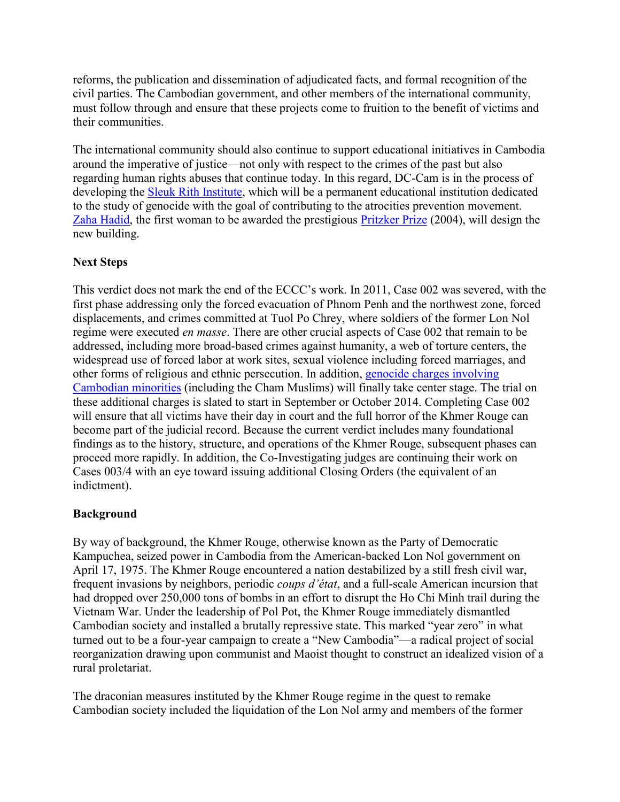reforms, the publication and dissemination of adjudicated facts, and formal recognition of the civil parties. The Cambodian government, and other members of the international community, must follow through and ensure that these projects come to fruition to the benefit of victims and their communities.

The international community should also continue to support educational initiatives in Cambodia around the imperative of justice—not only with respect to the crimes of the past but also regarding human rights abuses that continue today. In this regard, DC-Cam is in the process of developing the [Sleuk Rith Institute,](http://www.cambodiasri.org/) which will be a permanent educational institution dedicated to the study of genocide with the goal of contributing to the atrocities prevention movement. [Zaha Hadid,](http://www.zaha-hadid.com/) the first woman to be awarded the prestigious [Pritzker Prize](http://www.pritzkerprize.com/laureates/2004) (2004), will design the new building.

# **Next Steps**

This verdict does not mark the end of the ECCC's work. In 2011, Case 002 was severed, with the first phase addressing only the forced evacuation of Phnom Penh and the northwest zone, forced displacements, and crimes committed at Tuol Po Chrey, where soldiers of the former Lon Nol regime were executed *en masse*. There are other crucial aspects of Case 002 that remain to be addressed, including more broad-based crimes against humanity, a web of torture centers, the widespread use of forced labor at work sites, sexual violence including forced marriages, and other forms of religious and ethnic persecution. In addition, [genocide charges involving](http://www.washingtonpost.com/world/asia_pacific/khmer-rouge-tribunal-to-tackle-genocide-charges/2014/07/29/0a906c46-16e8-11e4-88f7-96ed767bb747_story.html)  [Cambodian minorities](http://www.washingtonpost.com/world/asia_pacific/khmer-rouge-tribunal-to-tackle-genocide-charges/2014/07/29/0a906c46-16e8-11e4-88f7-96ed767bb747_story.html) (including the Cham Muslims) will finally take center stage. The trial on these additional charges is slated to start in September or October 2014. Completing Case 002 will ensure that all victims have their day in court and the full horror of the Khmer Rouge can become part of the judicial record. Because the current verdict includes many foundational findings as to the history, structure, and operations of the Khmer Rouge, subsequent phases can proceed more rapidly. In addition, the Co-Investigating judges are continuing their work on Cases 003/4 with an eye toward issuing additional Closing Orders (the equivalent of an indictment).

### **Background**

By way of background, the Khmer Rouge, otherwise known as the Party of Democratic Kampuchea, seized power in Cambodia from the American-backed Lon Nol government on April 17, 1975. The Khmer Rouge encountered a nation destabilized by a still fresh civil war, frequent invasions by neighbors, periodic *coups d'état*, and a full-scale American incursion that had dropped over 250,000 tons of bombs in an effort to disrupt the Ho Chi Minh trail during the Vietnam War. Under the leadership of Pol Pot, the Khmer Rouge immediately dismantled Cambodian society and installed a brutally repressive state. This marked "year zero" in what turned out to be a four-year campaign to create a "New Cambodia"—a radical project of social reorganization drawing upon communist and Maoist thought to construct an idealized vision of a rural proletariat.

The draconian measures instituted by the Khmer Rouge regime in the quest to remake Cambodian society included the liquidation of the Lon Nol army and members of the former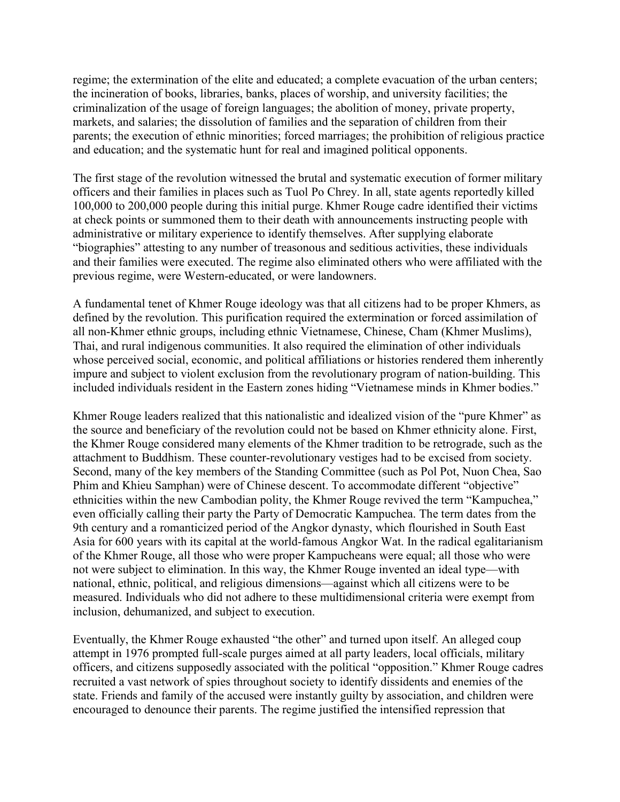regime; the extermination of the elite and educated; a complete evacuation of the urban centers; the incineration of books, libraries, banks, places of worship, and university facilities; the criminalization of the usage of foreign languages; the abolition of money, private property, markets, and salaries; the dissolution of families and the separation of children from their parents; the execution of ethnic minorities; forced marriages; the prohibition of religious practice and education; and the systematic hunt for real and imagined political opponents.

The first stage of the revolution witnessed the brutal and systematic execution of former military officers and their families in places such as Tuol Po Chrey. In all, state agents reportedly killed 100,000 to 200,000 people during this initial purge. Khmer Rouge cadre identified their victims at check points or summoned them to their death with announcements instructing people with administrative or military experience to identify themselves. After supplying elaborate "biographies" attesting to any number of treasonous and seditious activities, these individuals and their families were executed. The regime also eliminated others who were affiliated with the previous regime, were Western-educated, or were landowners.

A fundamental tenet of Khmer Rouge ideology was that all citizens had to be proper Khmers, as defined by the revolution. This purification required the extermination or forced assimilation of all non-Khmer ethnic groups, including ethnic Vietnamese, Chinese, Cham (Khmer Muslims), Thai, and rural indigenous communities. It also required the elimination of other individuals whose perceived social, economic, and political affiliations or histories rendered them inherently impure and subject to violent exclusion from the revolutionary program of nation-building. This included individuals resident in the Eastern zones hiding "Vietnamese minds in Khmer bodies."

Khmer Rouge leaders realized that this nationalistic and idealized vision of the "pure Khmer" as the source and beneficiary of the revolution could not be based on Khmer ethnicity alone. First, the Khmer Rouge considered many elements of the Khmer tradition to be retrograde, such as the attachment to Buddhism. These counter-revolutionary vestiges had to be excised from society. Second, many of the key members of the Standing Committee (such as Pol Pot, Nuon Chea, Sao Phim and Khieu Samphan) were of Chinese descent. To accommodate different "objective" ethnicities within the new Cambodian polity, the Khmer Rouge revived the term "Kampuchea," even officially calling their party the Party of Democratic Kampuchea. The term dates from the 9th century and a romanticized period of the Angkor dynasty, which flourished in South East Asia for 600 years with its capital at the world-famous Angkor Wat. In the radical egalitarianism of the Khmer Rouge, all those who were proper Kampucheans were equal; all those who were not were subject to elimination. In this way, the Khmer Rouge invented an ideal type—with national, ethnic, political, and religious dimensions—against which all citizens were to be measured. Individuals who did not adhere to these multidimensional criteria were exempt from inclusion, dehumanized, and subject to execution.

Eventually, the Khmer Rouge exhausted "the other" and turned upon itself. An alleged coup attempt in 1976 prompted full-scale purges aimed at all party leaders, local officials, military officers, and citizens supposedly associated with the political "opposition." Khmer Rouge cadres recruited a vast network of spies throughout society to identify dissidents and enemies of the state. Friends and family of the accused were instantly guilty by association, and children were encouraged to denounce their parents. The regime justified the intensified repression that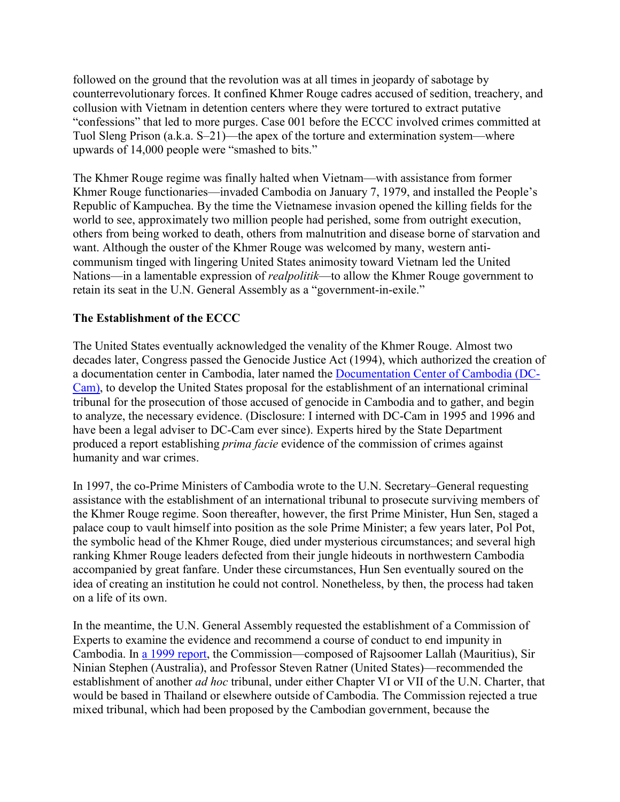followed on the ground that the revolution was at all times in jeopardy of sabotage by counterrevolutionary forces. It confined Khmer Rouge cadres accused of sedition, treachery, and collusion with Vietnam in detention centers where they were tortured to extract putative "confessions" that led to more purges. Case 001 before the ECCC involved crimes committed at Tuol Sleng Prison (a.k.a. S–21)—the apex of the torture and extermination system—where upwards of 14,000 people were "smashed to bits."

The Khmer Rouge regime was finally halted when Vietnam—with assistance from former Khmer Rouge functionaries—invaded Cambodia on January 7, 1979, and installed the People's Republic of Kampuchea. By the time the Vietnamese invasion opened the killing fields for the world to see, approximately two million people had perished, some from outright execution, others from being worked to death, others from malnutrition and disease borne of starvation and want. Although the ouster of the Khmer Rouge was welcomed by many, western anticommunism tinged with lingering United States animosity toward Vietnam led the United Nations—in a lamentable expression of *realpolitik*—to allow the Khmer Rouge government to retain its seat in the U.N. General Assembly as a "government-in-exile."

# **The Establishment of the ECCC**

The United States eventually acknowledged the venality of the Khmer Rouge. Almost two decades later, Congress passed the Genocide Justice Act (1994), which authorized the creation of a documentation center in Cambodia, later named the [Documentation Center of Cambodia \(DC-](http://www.dccam.org/)[Cam\),](http://www.dccam.org/) to develop the United States proposal for the establishment of an international criminal tribunal for the prosecution of those accused of genocide in Cambodia and to gather, and begin to analyze, the necessary evidence. (Disclosure: I interned with DC-Cam in 1995 and 1996 and have been a legal adviser to DC-Cam ever since). Experts hired by the State Department produced a report establishing *prima facie* evidence of the commission of crimes against humanity and war crimes.

In 1997, the co-Prime Ministers of Cambodia wrote to the U.N. Secretary–General requesting assistance with the establishment of an international tribunal to prosecute surviving members of the Khmer Rouge regime. Soon thereafter, however, the first Prime Minister, Hun Sen, staged a palace coup to vault himself into position as the sole Prime Minister; a few years later, Pol Pot, the symbolic head of the Khmer Rouge, died under mysterious circumstances; and several high ranking Khmer Rouge leaders defected from their jungle hideouts in northwestern Cambodia accompanied by great fanfare. Under these circumstances, Hun Sen eventually soured on the idea of creating an institution he could not control. Nonetheless, by then, the process had taken on a life of its own.

In the meantime, the U.N. General Assembly requested the establishment of a Commission of Experts to examine the evidence and recommend a course of conduct to end impunity in Cambodia. In [a 1999 report,](http://www1.umn.edu/humanrts/cambodia-1999.html) the Commission—composed of Rajsoomer Lallah (Mauritius), Sir Ninian Stephen (Australia), and Professor Steven Ratner (United States)—recommended the establishment of another *ad hoc* tribunal, under either Chapter VI or VII of the U.N. Charter, that would be based in Thailand or elsewhere outside of Cambodia. The Commission rejected a true mixed tribunal, which had been proposed by the Cambodian government, because the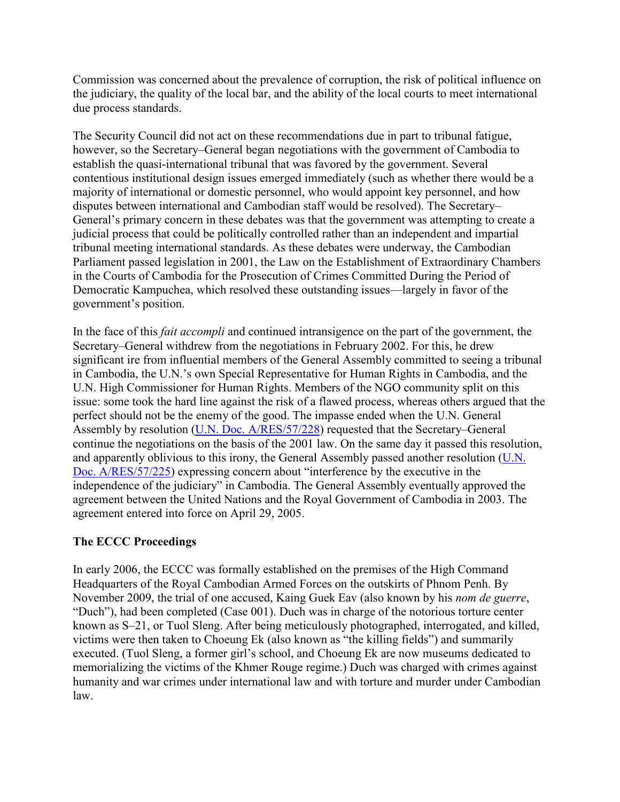Commission was concerned about the prevalence of corruption, the risk of political influence on the judiciary, the quality of the local bar, and the ability of the local courts to meet international due process standards.

The Security Council did not act on these recommendations due in part to tribunal fatigue, however, so the Secretary–General began negotiations with the government of Cambodia to establish the quasi-international tribunal that was favored by the government. Several contentious institutional design issues emerged immediately (such as whether there would be a majority of international or domestic personnel, who would appoint key personnel, and how disputes between international and Cambodian staff would be resolved). The Secretary– General's primary concern in these debates was that the government was attempting to create a judicial process that could be politically controlled rather than an independent and impartial tribunal meeting international standards. As these debates were underway, the Cambodian Parliament passed legislation in 2001, the Law on the Establishment of Extraordinary Chambers in the Courts of Cambodia for the Prosecution of Crimes Committed During the Period of Democratic Kampuchea, which resolved these outstanding issues—largely in favor of the government's position.

In the face of this *fait accompli* and continued intransigence on the part of the government, the Secretary–General withdrew from the negotiations in February 2002. For this, he drew significant ire from influential members of the General Assembly committed to seeing a tribunal in Cambodia, the U.N.'s own Special Representative for Human Rights in Cambodia, and the U.N. High Commissioner for Human Rights. Members of the NGO community split on this issue: some took the hard line against the risk of a flawed process, whereas others argued that the perfect should not be the enemy of the good. The impasse ended when the U.N. General Assembly by resolution [\(U.N. Doc. A/RES/57/228\)](http://www.worldlii.org/int/other/UNGARsn/2003/11.pdf) requested that the Secretary–General continue the negotiations on the basis of the 2001 law. On the same day it passed this resolution, and apparently oblivious to this irony, the General Assembly passed another resolution [\(U.N.](http://www.worldlii.org/int/other/UNGARsn/2002/286.pdf)  [Doc. A/RES/57/225\)](http://www.worldlii.org/int/other/UNGARsn/2002/286.pdf) expressing concern about "interference by the executive in the independence of the judiciary" in Cambodia. The General Assembly eventually approved the agreement between the United Nations and the Royal Government of Cambodia in 2003. The agreement entered into force on April 29, 2005.

### **The ECCC Proceedings**

In early 2006, the ECCC was formally established on the premises of the High Command Headquarters of the Royal Cambodian Armed Forces on the outskirts of Phnom Penh. By November 2009, the trial of one accused, Kaing Guek Eav (also known by his *nom de guerre*, "Duch"), had been completed (Case 001). Duch was in charge of the notorious torture center known as S–21, or Tuol Sleng. After being meticulously photographed, interrogated, and killed, victims were then taken to Choeung Ek (also known as "the killing fields") and summarily executed. (Tuol Sleng, a former girl's school, and Choeung Ek are now museums dedicated to memorializing the victims of the Khmer Rouge regime.) Duch was charged with crimes against humanity and war crimes under international law and with torture and murder under Cambodian law.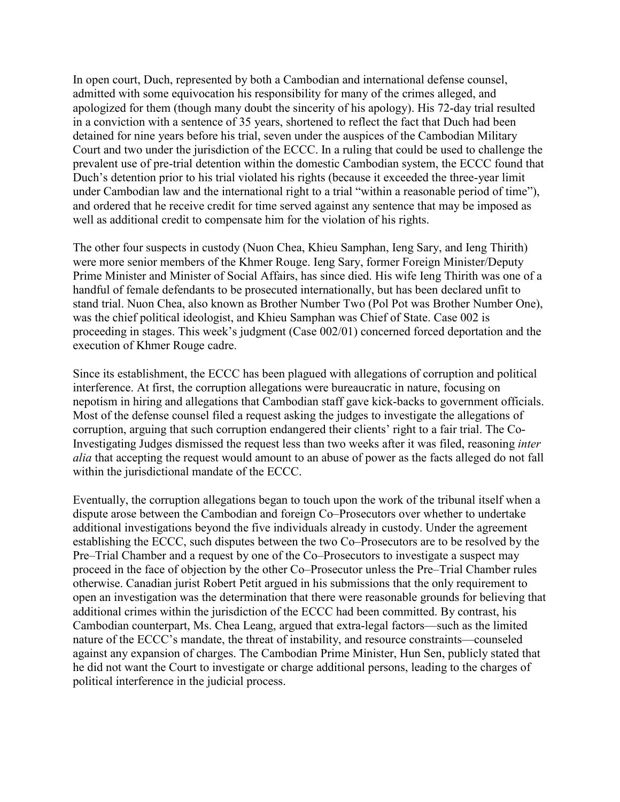In open court, Duch, represented by both a Cambodian and international defense counsel, admitted with some equivocation his responsibility for many of the crimes alleged, and apologized for them (though many doubt the sincerity of his apology). His 72-day trial resulted in a conviction with a sentence of 35 years, shortened to reflect the fact that Duch had been detained for nine years before his trial, seven under the auspices of the Cambodian Military Court and two under the jurisdiction of the ECCC. In a ruling that could be used to challenge the prevalent use of pre-trial detention within the domestic Cambodian system, the ECCC found that Duch's detention prior to his trial violated his rights (because it exceeded the three-year limit under Cambodian law and the international right to a trial "within a reasonable period of time"), and ordered that he receive credit for time served against any sentence that may be imposed as well as additional credit to compensate him for the violation of his rights.

The other four suspects in custody (Nuon Chea, Khieu Samphan, Ieng Sary, and Ieng Thirith) were more senior members of the Khmer Rouge. Ieng Sary, former Foreign Minister/Deputy Prime Minister and Minister of Social Affairs, has since died. His wife Ieng Thirith was one of a handful of female defendants to be prosecuted internationally, but has been declared unfit to stand trial. Nuon Chea, also known as Brother Number Two (Pol Pot was Brother Number One), was the chief political ideologist, and Khieu Samphan was Chief of State. Case 002 is proceeding in stages. This week's judgment (Case 002/01) concerned forced deportation and the execution of Khmer Rouge cadre.

Since its establishment, the ECCC has been plagued with allegations of corruption and political interference. At first, the corruption allegations were bureaucratic in nature, focusing on nepotism in hiring and allegations that Cambodian staff gave kick-backs to government officials. Most of the defense counsel filed a request asking the judges to investigate the allegations of corruption, arguing that such corruption endangered their clients' right to a fair trial. The Co-Investigating Judges dismissed the request less than two weeks after it was filed, reasoning *inter alia* that accepting the request would amount to an abuse of power as the facts alleged do not fall within the jurisdictional mandate of the ECCC.

Eventually, the corruption allegations began to touch upon the work of the tribunal itself when a dispute arose between the Cambodian and foreign Co–Prosecutors over whether to undertake additional investigations beyond the five individuals already in custody. Under the agreement establishing the ECCC, such disputes between the two Co–Prosecutors are to be resolved by the Pre–Trial Chamber and a request by one of the Co–Prosecutors to investigate a suspect may proceed in the face of objection by the other Co–Prosecutor unless the Pre–Trial Chamber rules otherwise. Canadian jurist Robert Petit argued in his submissions that the only requirement to open an investigation was the determination that there were reasonable grounds for believing that additional crimes within the jurisdiction of the ECCC had been committed. By contrast, his Cambodian counterpart, Ms. Chea Leang, argued that extra-legal factors—such as the limited nature of the ECCC's mandate, the threat of instability, and resource constraints—counseled against any expansion of charges. The Cambodian Prime Minister, Hun Sen, publicly stated that he did not want the Court to investigate or charge additional persons, leading to the charges of political interference in the judicial process.